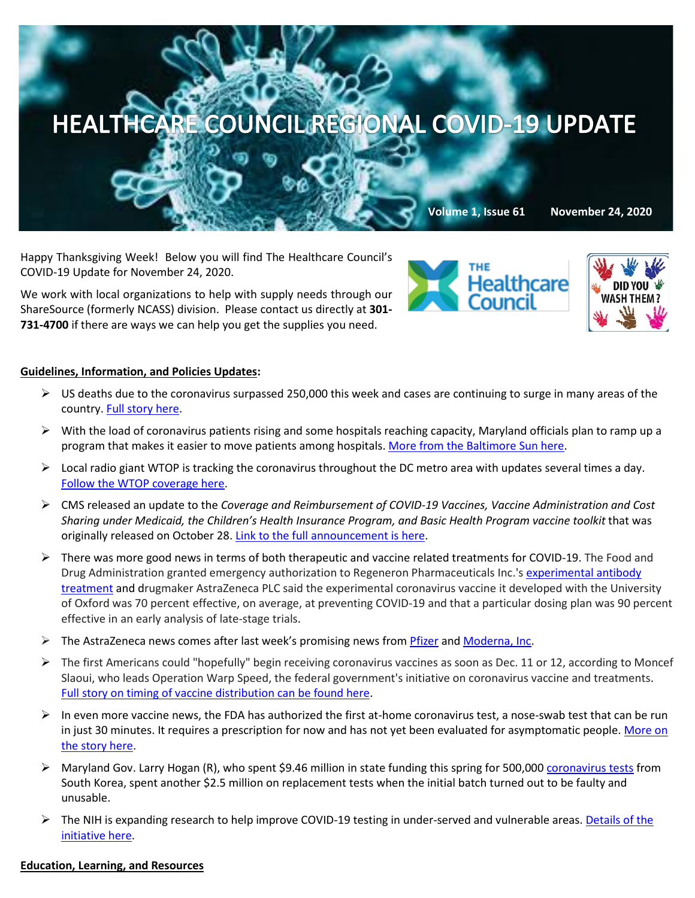

Happy Thanksgiving Week! Below you will find The Healthcare Council's COVID-19 Update for November 24, 2020.

We work with local organizations to help with supply needs through our ShareSource (formerly NCASS) division. Please contact us directly at **301- 731-4700** if there are ways we can help you get the supplies you need.





## **Guidelines, Information, and Policies Updates:**

- $\triangleright$  US deaths due to the coronavirus surpassed 250,000 this week and cases are continuing to surge in many areas of the country. [Full story here.](https://www.politico.com/news/2020/11/18/us-covid-deaths-250k-437942?mkt_tok=eyJpIjoiTURNeFpEVmtZVGd4TjJZMCIsInQiOiJwcjJLN0N4TXd3TTlZWjFvSGJ3SG1uV0ViNVZuY1hPTmt4dVROTlR6RXV4RGx3b1B1NGlmR3VDVEE4emhYSjFZMXZITFVRczROT2RsTVJtcllpdlBwQlVXeFFZaitWTmk5NUdqNUtlOU0wdmNlVmx1VWFpcDQ0R2dmeWY4YkIwZiJ9)
- $\triangleright$  With the load of coronavirus patients rising and some hospitals reaching capacity, Maryland officials plan to ramp up a program that makes it easier to move patients among hospitals. [More from the Baltimore Sun here.](https://www.baltimoresun.com/coronavirus/bs-md-hospital-capacity-plans-20201118-ycxg6csjcnemzekrwsmkihg3py-story.html)
- $\triangleright$  Local radio giant WTOP is tracking the coronavirus throughout the DC metro area with updates several times a day. [Follow the WTOP coverage here.](https://wtop.com/coronavirus/2020/11/coronavirus-test-results-in-dc-maryland-and-virginia/)
- CMS released an update to the *Coverage and Reimbursement of COVID-19 Vaccines, Vaccine Administration and Cost Sharing under Medicaid, the Children's Health Insurance Program, and Basic Health Program vaccine toolkit* that was originally released on October 28[. Link to the full announcement is here.](https://content.govdelivery.com/accounts/USCMSMEDICAID/bulletins/2adf741)
- $\triangleright$  There was more good news in terms of both therapeutic and vaccine related treatments for COVID-19. The Food and Drug Administration granted emergency authorization to Regeneron Pharmaceuticals Inc.'s experimental antibody [treatment](https://www.washingtonpost.com/health/2020/11/21/regeneron-fda-clearance/?mkt_tok=eyJpIjoiWkRZek56Rm1PV0prTXpNMiIsInQiOiIzVTZoaDFiVnMreHhoWlwvQmlMNmoxelhJVXF2RDZHOVlqc1FKcDZpRnlvZkZ1M1wveDlGamYrbmVjTnVNMnpOU1d2ZGgra3g2RUNxNCtwQ1pPVjlHaGV0Qmt2UW83Yk55bFwvaGprQUxHZ1V4RzhlVnRpKzVjNlwvdWQ0XC9jb2JBejMwIn0=) and drugmaker AstraZeneca PLC said the experimental coronavirus vaccine it developed with the University of Oxford was 70 percent effective, on average, at preventing COVID-19 and that a particular dosing plan was 90 percent effective in an early analysis of late-stage trials.
- The AstraZeneca news comes after last week's promising news from [Pfizer](https://www.wsj.com/articles/pfizer-to-seek-authorization-of-covid-19-vaccine-friday-11605872700?mkt_tok=eyJpIjoiTURNeFpEVmtZVGd4TjJZMCIsInQiOiJwcjJLN0N4TXd3TTlZWjFvSGJ3SG1uV0ViNVZuY1hPTmt4dVROTlR6RXV4RGx3b1B1NGlmR3VDVEE4emhYSjFZMXZITFVRczROT2RsTVJtcllpdlBwQlVXeFFZaitWTmk5NUdqNUtlOU0wdmNlVmx1VWFpcDQ0R2dmeWY4YkIwZiJ9) and [Moderna, Inc.](https://www.wsj.com/articles/moderna-says-its-covid-19-vaccine-was-94-5-effective-in-latest-trial-11605528008?mod=latest_headlines&mkt_tok=eyJpIjoiTURNeFpEVmtZVGd4TjJZMCIsInQiOiJwcjJLN0N4TXd3TTlZWjFvSGJ3SG1uV0ViNVZuY1hPTmt4dVROTlR6RXV4RGx3b1B1NGlmR3VDVEE4emhYSjFZMXZITFVRczROT2RsTVJtcllpdlBwQlVXeFFZaitWTmk5NUdqNUtlOU0wdmNlVmx1VWFpcDQ0R2dmeWY4YkIwZiJ9)
- $\triangleright$  The first Americans could "hopefully" begin receiving coronavirus vaccines as soon as Dec. 11 or 12, according to Moncef Slaoui, who leads Operation Warp Speed, the federal government's initiative on coronavirus vaccine and treatments. [Full story on timing of vaccine distribution can be found here.](https://www.bloomberg.com/news/articles/2020-11-22/u-s-vaccine-train-won-t-be-derailed-warp-speed-leader-says?mkt_tok=eyJpIjoiWkRZek56Rm1PV0prTXpNMiIsInQiOiIzVTZoaDFiVnMreHhoWlwvQmlMNmoxelhJVXF2RDZHOVlqc1FKcDZpRnlvZkZ1M1wveDlGamYrbmVjTnVNMnpOU1d2ZGgra3g2RUNxNCtwQ1pPVjlHaGV0Qmt2UW83Yk55bFwvaGprQUxHZ1V4RzhlVnRpKzVjNlwvdWQ0XC9jb2JBejMwIn0=)
- $\triangleright$  In even more vaccine news, the FDA has authorized the first at-home coronavirus test, a nose-swab test that can be run in just 30 minutes. It requires a prescription for now and has not yet been evaluated for asymptomatic people. [More on](https://www.nytimes.com/2020/11/18/health/coronavirus-testing-home.html?mkt_tok=eyJpIjoiTURNeFpEVmtZVGd4TjJZMCIsInQiOiJwcjJLN0N4TXd3TTlZWjFvSGJ3SG1uV0ViNVZuY1hPTmt4dVROTlR6RXV4RGx3b1B1NGlmR3VDVEE4emhYSjFZMXZITFVRczROT2RsTVJtcllpdlBwQlVXeFFZaitWTmk5NUdqNUtlOU0wdmNlVmx1VWFpcDQ0R2dmeWY4YkIwZiJ9)  [the story here.](https://www.nytimes.com/2020/11/18/health/coronavirus-testing-home.html?mkt_tok=eyJpIjoiTURNeFpEVmtZVGd4TjJZMCIsInQiOiJwcjJLN0N4TXd3TTlZWjFvSGJ3SG1uV0ViNVZuY1hPTmt4dVROTlR6RXV4RGx3b1B1NGlmR3VDVEE4emhYSjFZMXZITFVRczROT2RsTVJtcllpdlBwQlVXeFFZaitWTmk5NUdqNUtlOU0wdmNlVmx1VWFpcDQ0R2dmeWY4YkIwZiJ9)
- $\triangleright$  Maryland Gov. Larry Hogan (R), who spent \$9.46 million in state funding this spring for 500,00[0 coronavirus tests](https://c.morningconsult.com/BL00OT3Af00050xA0WiVCMz#_blank) from South Korea, spent another \$2.5 million on replacement tests when the initial batch turned out to be faulty and unusable.
- $\triangleright$  The NIH is expanding research to help improve COVID-19 testing in under-served and vulnerable areas. Details of the [initiative here.](https://www.nih.gov/news-events/news-releases/nih-expands-research-improve-covid-19-testing-among-underserved-vulnerable-populations)

## **Education, Learning, and Resources**